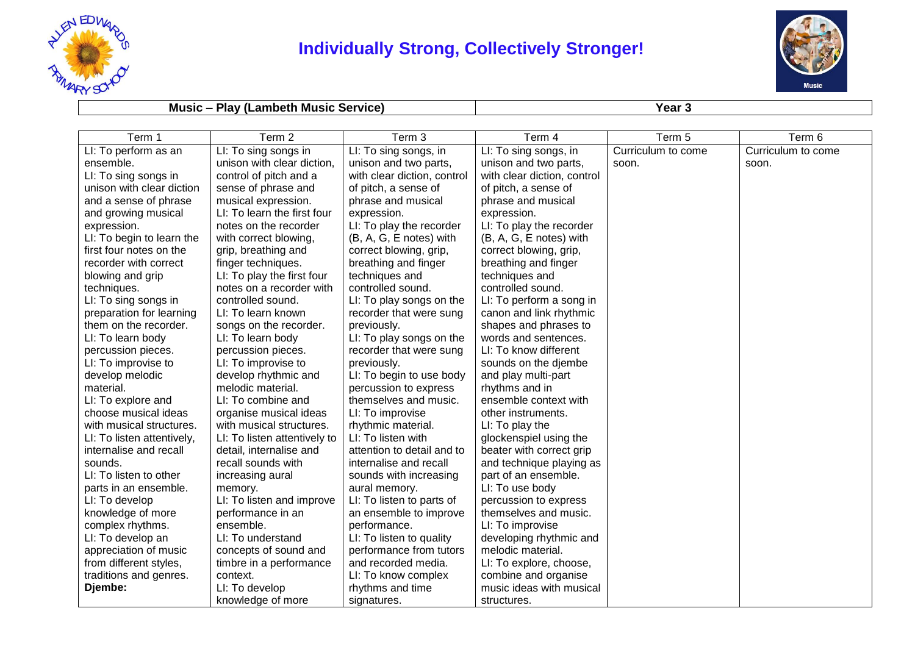

## **Individually Strong, Collectively Stronger!**



## **Music – Play (Lambeth Music Service) Year 3**

| Term 1                     | Term 2                       | Term 3                       | Term 4                      | Term 5             | Term 6             |
|----------------------------|------------------------------|------------------------------|-----------------------------|--------------------|--------------------|
| LI: To perform as an       | LI: To sing songs in         | LI: To sing songs, in        | LI: To sing songs, in       | Curriculum to come | Curriculum to come |
| ensemble.                  | unison with clear diction,   | unison and two parts,        | unison and two parts,       | soon.              | soon.              |
| LI: To sing songs in       | control of pitch and a       | with clear diction, control  | with clear diction, control |                    |                    |
| unison with clear diction  | sense of phrase and          | of pitch, a sense of         | of pitch, a sense of        |                    |                    |
| and a sense of phrase      | musical expression.          | phrase and musical           | phrase and musical          |                    |                    |
| and growing musical        | LI: To learn the first four  | expression.                  | expression.                 |                    |                    |
| expression.                | notes on the recorder        | LI: To play the recorder     | LI: To play the recorder    |                    |                    |
| LI: To begin to learn the  | with correct blowing,        | $(B, A, G, E \nvert A)$ with | (B, A, G, E notes) with     |                    |                    |
| first four notes on the    | grip, breathing and          | correct blowing, grip,       | correct blowing, grip,      |                    |                    |
| recorder with correct      | finger techniques.           | breathing and finger         | breathing and finger        |                    |                    |
| blowing and grip           | LI: To play the first four   | techniques and               | techniques and              |                    |                    |
| techniques.                | notes on a recorder with     | controlled sound.            | controlled sound.           |                    |                    |
| LI: To sing songs in       | controlled sound.            | LI: To play songs on the     | LI: To perform a song in    |                    |                    |
| preparation for learning   | LI: To learn known           | recorder that were sung      | canon and link rhythmic     |                    |                    |
| them on the recorder.      | songs on the recorder.       | previously.                  | shapes and phrases to       |                    |                    |
| LI: To learn body          | LI: To learn body            | LI: To play songs on the     | words and sentences.        |                    |                    |
| percussion pieces.         | percussion pieces.           | recorder that were sung      | LI: To know different       |                    |                    |
| LI: To improvise to        | LI: To improvise to          | previously.                  | sounds on the djembe        |                    |                    |
| develop melodic            | develop rhythmic and         | LI: To begin to use body     | and play multi-part         |                    |                    |
| material.                  | melodic material.            | percussion to express        | rhythms and in              |                    |                    |
| LI: To explore and         | LI: To combine and           | themselves and music.        | ensemble context with       |                    |                    |
| choose musical ideas       | organise musical ideas       | LI: To improvise             | other instruments.          |                    |                    |
| with musical structures.   | with musical structures.     | rhythmic material.           | LI: To play the             |                    |                    |
| LI: To listen attentively, | LI: To listen attentively to | LI: To listen with           | glockenspiel using the      |                    |                    |
| internalise and recall     | detail, internalise and      | attention to detail and to   | beater with correct grip    |                    |                    |
| sounds.                    | recall sounds with           | internalise and recall       | and technique playing as    |                    |                    |
| LI: To listen to other     | increasing aural             | sounds with increasing       | part of an ensemble.        |                    |                    |
| parts in an ensemble.      | memory.                      | aural memory.                | LI: To use body             |                    |                    |
| LI: To develop             | LI: To listen and improve    | LI: To listen to parts of    | percussion to express       |                    |                    |
| knowledge of more          | performance in an            | an ensemble to improve       | themselves and music.       |                    |                    |
| complex rhythms.           | ensemble.                    | performance.                 | LI: To improvise            |                    |                    |
| LI: To develop an          | LI: To understand            | LI: To listen to quality     | developing rhythmic and     |                    |                    |
| appreciation of music      | concepts of sound and        | performance from tutors      | melodic material.           |                    |                    |
| from different styles,     | timbre in a performance      | and recorded media.          | LI: To explore, choose,     |                    |                    |
| traditions and genres.     | context.                     | LI: To know complex          | combine and organise        |                    |                    |
| Djembe:                    | LI: To develop               | rhythms and time             | music ideas with musical    |                    |                    |
|                            | knowledge of more            | signatures.                  | structures.                 |                    |                    |